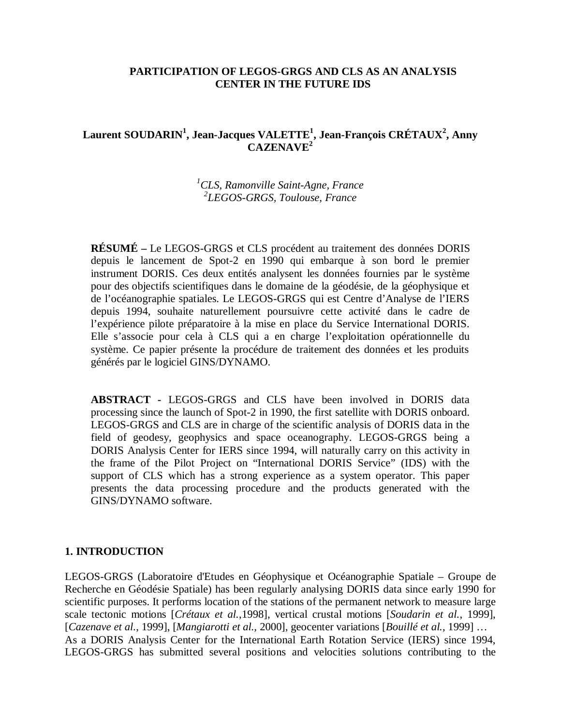### **PARTICIPATION OF LEGOS-GRGS AND CLS AS AN ANALYSIS CENTER IN THE FUTURE IDS**

## **Laurent SOUDARIN1 , Jean-Jacques VALETTE1 , Jean-François CRÉTAUX<sup>2</sup> , Anny CAZENAVE2**

# *1 CLS, Ramonville Saint-Agne, France 2 LEGOS-GRGS, Toulouse, France*

**RÉSUMÉ –** Le LEGOS-GRGS et CLS procédent au traitement des données DORIS depuis le lancement de Spot-2 en 1990 qui embarque à son bord le premier instrument DORIS. Ces deux entités analysent les données fournies par le système pour des objectifs scientifiques dans le domaine de la géodésie, de la géophysique et de l'océanographie spatiales. Le LEGOS-GRGS qui est Centre d'Analyse de l'IERS depuis 1994, souhaite naturellement poursuivre cette activité dans le cadre de l'expérience pilote préparatoire à la mise en place du Service International DORIS. Elle s'associe pour cela à CLS qui a en charge l'exploitation opérationnelle du système. Ce papier présente la procédure de traitement des données et les produits générés par le logiciel GINS/DYNAMO.

**ABSTRACT -** LEGOS-GRGS and CLS have been involved in DORIS data processing since the launch of Spot-2 in 1990, the first satellite with DORIS onboard. LEGOS-GRGS and CLS are in charge of the scientific analysis of DORIS data in the field of geodesy, geophysics and space oceanography. LEGOS-GRGS being a DORIS Analysis Center for IERS since 1994, will naturally carry on this activity in the frame of the Pilot Project on "International DORIS Service" (IDS) with the support of CLS which has a strong experience as a system operator. This paper presents the data processing procedure and the products generated with the GINS/DYNAMO software.

#### **1. INTRODUCTION**

LEGOS-GRGS (Laboratoire d'Etudes en Géophysique et Océanographie Spatiale – Groupe de Recherche en Géodésie Spatiale) has been regularly analysing DORIS data since early 1990 for scientific purposes. It performs location of the stations of the permanent network to measure large scale tectonic motions [*Crétaux et al.*,1998], vertical crustal motions [*Soudarin et al.*, 1999], [*Cazenave et al.*, 1999], [*Mangiarotti et al.,* 2000], geocenter variations [*Bouillé et al.*, 1999] … As a DORIS Analysis Center for the International Earth Rotation Service (IERS) since 1994, LEGOS-GRGS has submitted several positions and velocities solutions contributing to the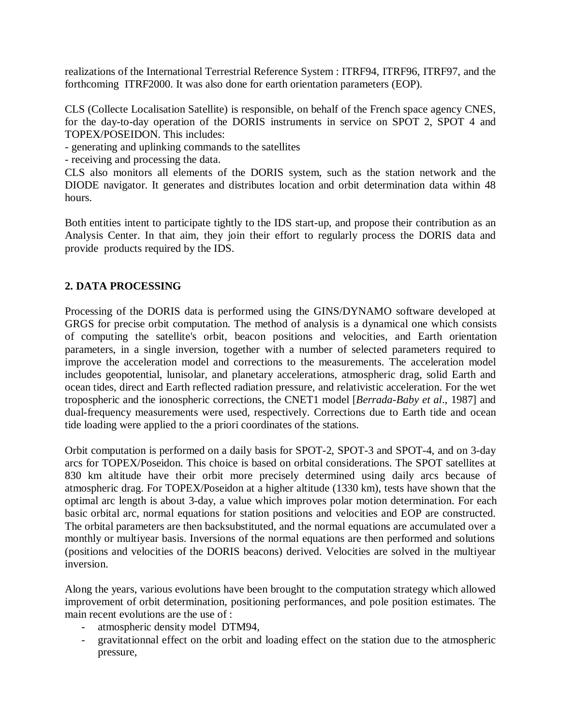realizations of the International Terrestrial Reference System : ITRF94, ITRF96, ITRF97, and the forthcoming ITRF2000. It was also done for earth orientation parameters (EOP).

CLS (Collecte Localisation Satellite) is responsible, on behalf of the French space agency CNES, for the day-to-day operation of the DORIS instruments in service on SPOT 2, SPOT 4 and TOPEX/POSEIDON. This includes:

- generating and uplinking commands to the satellites

- receiving and processing the data.

CLS also monitors all elements of the DORIS system, such as the station network and the DIODE navigator. It generates and distributes location and orbit determination data within 48 hours.

Both entities intent to participate tightly to the IDS start-up, and propose their contribution as an Analysis Center. In that aim, they join their effort to regularly process the DORIS data and provide products required by the IDS.

## **2. DATA PROCESSING**

Processing of the DORIS data is performed using the GINS/DYNAMO software developed at GRGS for precise orbit computation. The method of analysis is a dynamical one which consists of computing the satellite's orbit, beacon positions and velocities, and Earth orientation parameters, in a single inversion, together with a number of selected parameters required to improve the acceleration model and corrections to the measurements. The acceleration model includes geopotential, lunisolar, and planetary accelerations, atmospheric drag, solid Earth and ocean tides, direct and Earth reflected radiation pressure, and relativistic acceleration. For the wet tropospheric and the ionospheric corrections, the CNET1 model [*Berrada-Baby et al*., 1987] and dual-frequency measurements were used, respectively. Corrections due to Earth tide and ocean tide loading were applied to the a priori coordinates of the stations.

Orbit computation is performed on a daily basis for SPOT-2, SPOT-3 and SPOT-4, and on 3-day arcs for TOPEX/Poseidon. This choice is based on orbital considerations. The SPOT satellites at 830 km altitude have their orbit more precisely determined using daily arcs because of atmospheric drag. For TOPEX/Poseidon at a higher altitude (1330 km), tests have shown that the optimal arc length is about 3-day, a value which improves polar motion determination. For each basic orbital arc, normal equations for station positions and velocities and EOP are constructed. The orbital parameters are then backsubstituted, and the normal equations are accumulated over a monthly or multiyear basis. Inversions of the normal equations are then performed and solutions (positions and velocities of the DORIS beacons) derived. Velocities are solved in the multiyear inversion.

Along the years, various evolutions have been brought to the computation strategy which allowed improvement of orbit determination, positioning performances, and pole position estimates. The main recent evolutions are the use of :

- atmospheric density model DTM94,
- gravitationnal effect on the orbit and loading effect on the station due to the atmospheric pressure,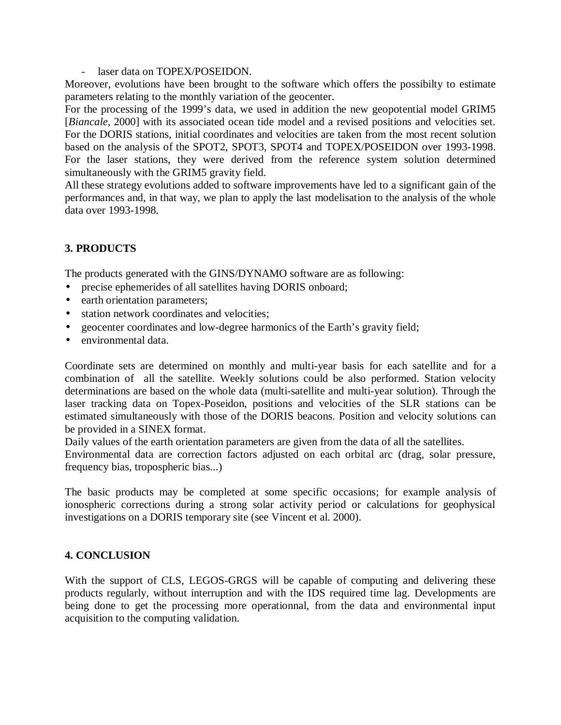#### laser data on TOPEX/POSEIDON.

Moreover, evolutions have been brought to the software which offers the possibilty to estimate parameters relating to the monthly variation of the geocenter.

For the processing of the 1999's data, we used in addition the new geopotential model GRIM5 [*Biancale*, 2000] with its associated ocean tide model and a revised positions and velocities set. For the DORIS stations, initial coordinates and velocities are taken from the most recent solution based on the analysis of the SPOT2, SPOT3, SPOT4 and TOPEX/POSEIDON over 1993-1998. For the laser stations, they were derived from the reference system solution determined simultaneously with the GRIM5 gravity field.

All these strategy evolutions added to software improvements have led to a significant gain of the performances and, in that way, we plan to apply the last modelisation to the analysis of the whole data over 1993-1998.

# **3. PRODUCTS**

The products generated with the GINS/DYNAMO software are as following:

- precise ephemerides of all satellites having DORIS onboard;
- earth orientation parameters;
- station network coordinates and velocities;
- geocenter coordinates and low-degree harmonics of the Earth's gravity field;
- environmental data.

Coordinate sets are determined on monthly and multi-year basis for each satellite and for a combination of all the satellite. Weekly solutions could be also performed. Station velocity determinations are based on the whole data (multi-satellite and multi-year solution). Through the laser tracking data on Topex-Poseidon, positions and velocities of the SLR stations can be estimated simultaneously with those of the DORIS beacons. Position and velocity solutions can be provided in a SINEX format.

Daily values of the earth orientation parameters are given from the data of all the satellites.

Environmental data are correction factors adjusted on each orbital arc (drag, solar pressure, frequency bias, tropospheric bias...)

The basic products may be completed at some specific occasions; for example analysis of ionospheric corrections during a strong solar activity period or calculations for geophysical investigations on a DORIS temporary site (see Vincent et al. 2000).

## **4. CONCLUSION**

With the support of CLS, LEGOS-GRGS will be capable of computing and delivering these products regularly, without interruption and with the IDS required time lag. Developments are being done to get the processing more operationnal, from the data and environmental input acquisition to the computing validation.